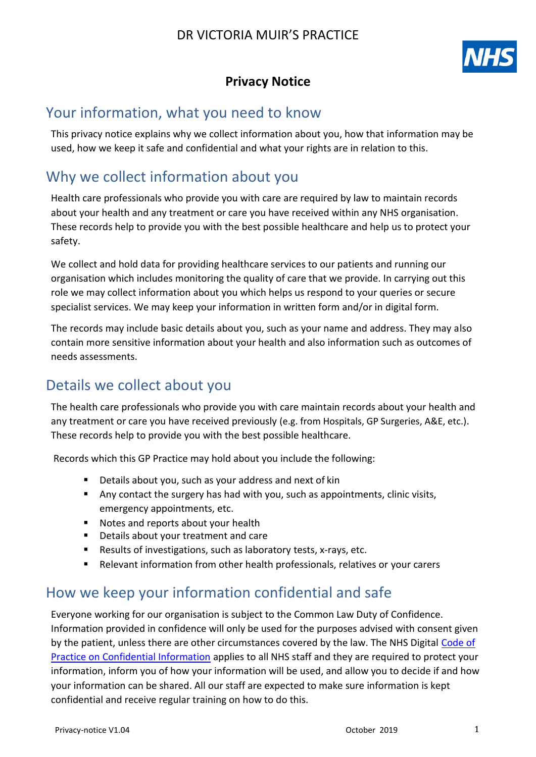

### **Privacy Notice**

# Your information, what you need to know

This privacy notice explains why we collect information about you, how that information may be used, how we keep it safe and confidential and what your rights are in relation to this.

# Why we collect information about you

Health care professionals who provide you with care are required by law to maintain records about your health and any treatment or care you have received within any NHS organisation. These records help to provide you with the best possible healthcare and help us to protect your safety.

We collect and hold data for providing healthcare services to our patients and running our organisation which includes monitoring the quality of care that we provide. In carrying out this role we may collect information about you which helps us respond to your queries or secure specialist services. We may keep your information in written form and/or in digital form.

The records may include basic details about you, such as your name and address. They may also contain more sensitive information about your health and also information such as outcomes of needs assessments.

# Details we collect about you

The health care professionals who provide you with care maintain records about your health and any treatment or care you have received previously (e.g. from Hospitals, GP Surgeries, A&E, etc.). These records help to provide you with the best possible healthcare.

Records which this GP Practice may hold about you include the following:

- Details about you, such as your address and next of kin
- Any contact the surgery has had with you, such as appointments, clinic visits, emergency appointments, etc.
- Notes and reports about your health
- **Details about your treatment and care**
- Results of investigations, such as laboratory tests, x-rays, etc.
- Relevant information from other health professionals, relatives or your carers

# How we keep your information confidential and safe

Everyone working for our organisation is subject to the Common Law Duty of Confidence. Information provided in confidence will only be used for the purposes advised with consent given by the patient, unless there are other circumstances covered by the law. The NHS Digital [Code of](http://systems.digital.nhs.uk/infogov/codes/cop/code.pdf) [Practice on Confidential Information](http://systems.digital.nhs.uk/infogov/codes/cop/code.pdf) applies to all NHS staff and they are required to protect your information, inform you of how your information will be used, and allow you to decide if and how your information can be shared. All our staff are expected to make sure information is kept confidential and receive regular training on how to do this.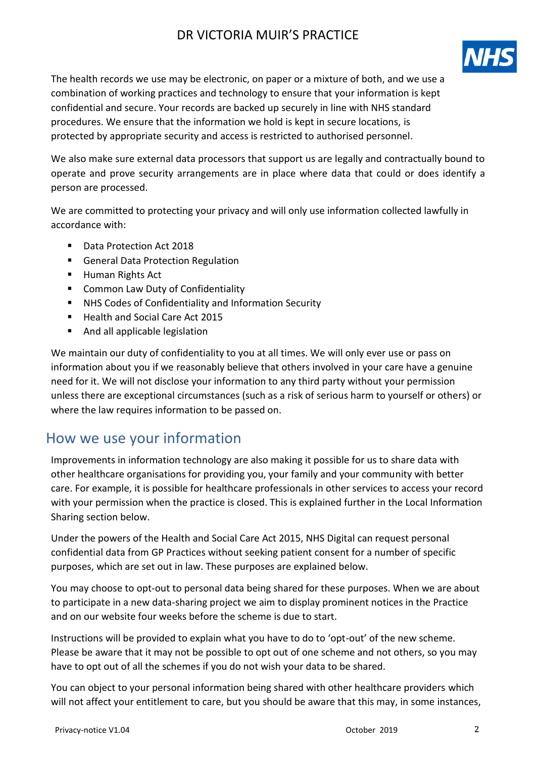

The health records we use may be electronic, on paper or a mixture of both, and we use a combination of working practices and technology to ensure that your information is kept confidential and secure. Your records are backed up securely in line with NHS standard procedures. We ensure that the information we hold is kept in secure locations, is protected by appropriate security and access is restricted to authorised personnel.

We also make sure external data processors that support us are legally and contractually bound to operate and prove security arrangements are in place where data that could or does identify a person are processed.

We are committed to protecting your privacy and will only use information collected lawfully in accordance with:

- Data Protection Act 2018
- **General Data Protection Regulation**
- Human Rights Act
- **E** Common Law Duty of Confidentiality
- NHS Codes of Confidentiality and Information Security
- Health and Social Care Act 2015
- **And all applicable legislation**

We maintain our duty of confidentiality to you at all times. We will only ever use or pass on information about you if we reasonably believe that others involved in your care have a genuine need for it. We will not disclose your information to any third party without your permission unless there are exceptional circumstances (such as a risk of serious harm to yourself or others) or where the law requires information to be passed on.

# How we use your information

Improvements in information technology are also making it possible for us to share data with other healthcare organisations for providing you, your family and your community with better care. For example, it is possible for healthcare professionals in other services to access your record with your permission when the practice is closed. This is explained further in the Local Information Sharing section below.

Under the powers of the Health and Social Care Act 2015, NHS Digital can request personal confidential data from GP Practices without seeking patient consent for a number of specific purposes, which are set out in law. These purposes are explained below.

You may choose to opt-out to personal data being shared for these purposes. When we are about to participate in a new data-sharing project we aim to display prominent notices in the Practice and on our website four weeks before the scheme is due to start.

Instructions will be provided to explain what you have to do to 'opt-out' of the new scheme. Please be aware that it may not be possible to opt out of one scheme and not others, so you may have to opt out of all the schemes if you do not wish your data to be shared.

You can object to your personal information being shared with other healthcare providers which will not affect your entitlement to care, but you should be aware that this may, in some instances,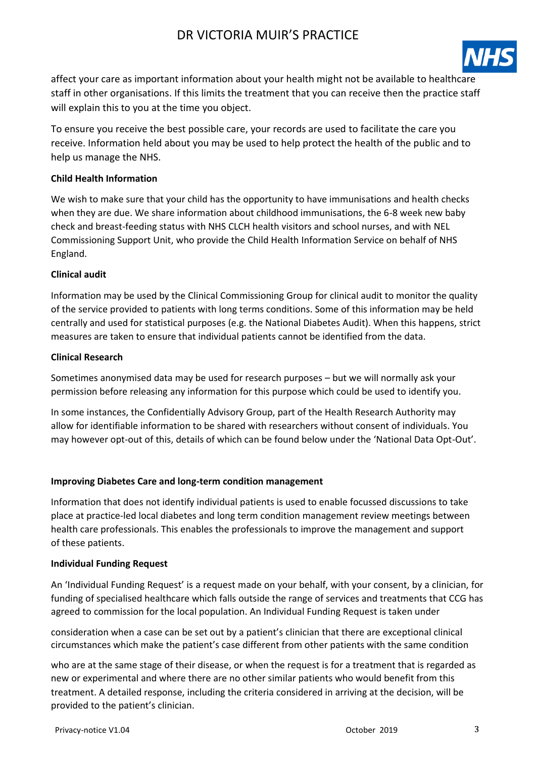

affect your care as important information about your health might not be available to healthcare staff in other organisations. If this limits the treatment that you can receive then the practice staff will explain this to you at the time you object.

To ensure you receive the best possible care, your records are used to facilitate the care you receive. Information held about you may be used to help protect the health of the public and to help us manage the NHS.

#### **Child Health Information**

We wish to make sure that your child has the opportunity to have immunisations and health checks when they are due. We share information about childhood immunisations, the 6-8 week new baby check and breast-feeding status with NHS CLCH health visitors and school nurses, and with NEL Commissioning Support Unit, who provide the Child Health Information Service on behalf of NHS England.

#### **Clinical audit**

Information may be used by the Clinical Commissioning Group for clinical audit to monitor the quality of the service provided to patients with long terms conditions. Some of this information may be held centrally and used for statistical purposes (e.g. the National Diabetes Audit). When this happens, strict measures are taken to ensure that individual patients cannot be identified from the data.

#### **Clinical Research**

Sometimes anonymised data may be used for research purposes – but we will normally ask your permission before releasing any information for this purpose which could be used to identify you.

In some instances, the Confidentially Advisory Group, part of the Health Research Authority may allow for identifiable information to be shared with researchers without consent of individuals. You may however opt-out of this, details of which can be found below under the 'National Data Opt-Out'.

#### **Improving Diabetes Care and long-term condition management**

Information that does not identify individual patients is used to enable focussed discussions to take place at practice-led local diabetes and long term condition management review meetings between health care professionals. This enables the professionals to improve the management and support of these patients.

#### **Individual Funding Request**

An 'Individual Funding Request' is a request made on your behalf, with your consent, by a clinician, for funding of specialised healthcare which falls outside the range of services and treatments that CCG has agreed to commission for the local population. An Individual Funding Request is taken under

consideration when a case can be set out by a patient's clinician that there are exceptional clinical circumstances which make the patient's case different from other patients with the same condition

who are at the same stage of their disease, or when the request is for a treatment that is regarded as new or experimental and where there are no other similar patients who would benefit from this treatment. A detailed response, including the criteria considered in arriving at the decision, will be provided to the patient's clinician.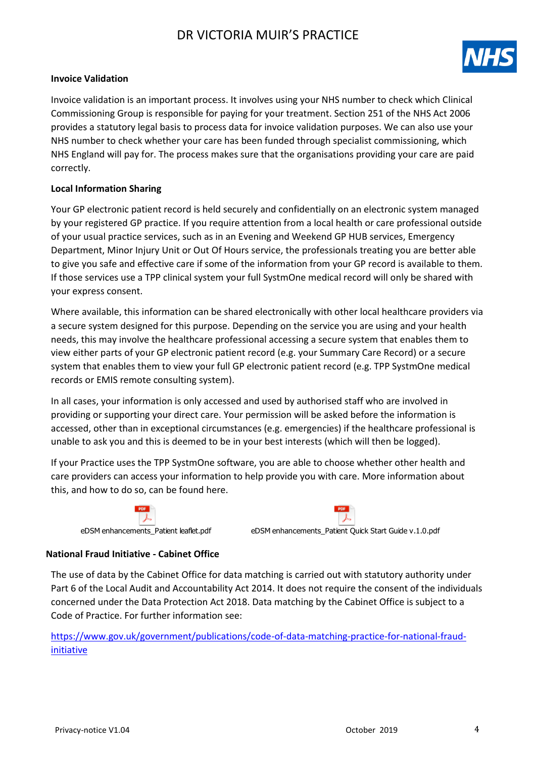

#### **Invoice Validation**

Invoice validation is an important process. It involves using your NHS number to check which Clinical Commissioning Group is responsible for paying for your treatment. Section 251 of the NHS Act 2006 provides a statutory legal basis to process data for invoice validation purposes. We can also use your NHS number to check whether your care has been funded through specialist commissioning, which NHS England will pay for. The process makes sure that the organisations providing your care are paid correctly.

#### **Local Information Sharing**

Your GP electronic patient record is held securely and confidentially on an electronic system managed by your registered GP practice. If you require attention from a local health or care professional outside of your usual practice services, such as in an Evening and Weekend GP HUB services, Emergency Department, Minor Injury Unit or Out Of Hours service, the professionals treating you are better able to give you safe and effective care if some of the information from your GP record is available to them. If those services use a TPP clinical system your full SystmOne medical record will only be shared with your express consent.

Where available, this information can be shared electronically with other local healthcare providers via a secure system designed for this purpose. Depending on the service you are using and your health needs, this may involve the healthcare professional accessing a secure system that enables them to view either parts of your GP electronic patient record (e.g. your Summary Care Record) or a secure system that enables them to view your full GP electronic patient record (e.g. TPP SystmOne medical records or EMIS remote consulting system).

In all cases, your information is only accessed and used by authorised staff who are involved in providing or supporting your direct care. Your permission will be asked before the information is accessed, other than in exceptional circumstances (e.g. emergencies) if the healthcare professional is unable to ask you and this is deemed to be in your best interests (which will then be logged).

If your Practice uses the TPP SystmOne software, you are able to choose whether other health and care providers can access your information to help provide you with care. More information about this, and how to do so, can be found here.





eDSM enhancements\_Patient leaflet.pdf eDSM enhancements\_Patient Quick Start Guide v.1.0.pdf

#### **National Fraud Initiative - Cabinet Office**

The use of data by the Cabinet Office for data matching is carried out with statutory authority under Part 6 of the Local Audit and Accountability Act 2014. It does not require the consent of the individuals concerned under the Data Protection Act 2018. Data matching by the Cabinet Office is subject to a Code of Practice. For further information see:

[https://www.gov.uk/government/publications/code-of-data-matching-practice-for-national-fraud](https://www.gov.uk/government/publications/code-of-data-matching-practice-for-national-fraud-initiative)[initiative](https://www.gov.uk/government/publications/code-of-data-matching-practice-for-national-fraud-initiative)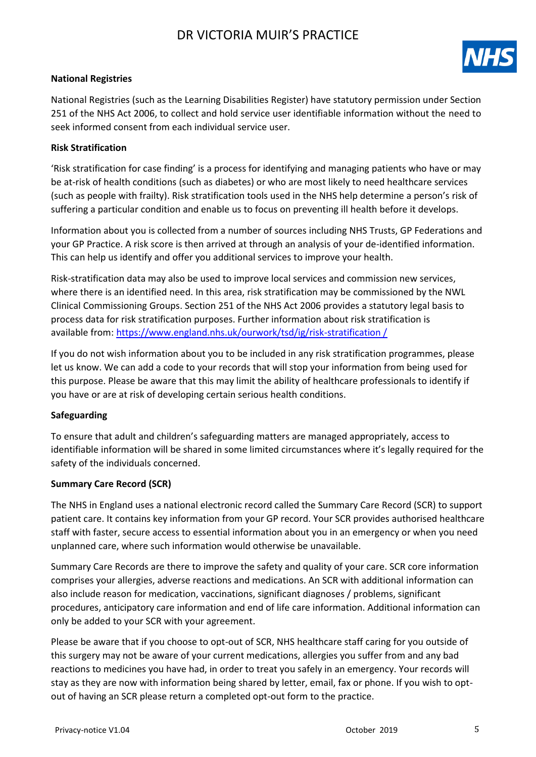

#### **National Registries**

National Registries (such as the Learning Disabilities Register) have statutory permission under Section 251 of the NHS Act 2006, to collect and hold service user identifiable information without the need to seek informed consent from each individual service user.

#### **Risk Stratification**

'Risk stratification for case finding' is a process for identifying and managing patients who have or may be at-risk of health conditions (such as diabetes) or who are most likely to need healthcare services (such as people with frailty). Risk stratification tools used in the NHS help determine a person's risk of suffering a particular condition and enable us to focus on preventing ill health before it develops.

Information about you is collected from a number of sources including NHS Trusts, GP Federations and your GP Practice. A risk score is then arrived at through an analysis of your de-identified information. This can help us identify and offer you additional services to improve your health.

Risk-stratification data may also be used to improve local services and commission new services, where there is an identified need. In this area, risk stratification may be commissioned by the NWL Clinical Commissioning Groups. Section 251 of the NHS Act 2006 provides a statutory legal basis to process data for risk stratification purposes. Further information about risk stratification is available from: [https://www.england.nhs.uk/ourwork/tsd/ig/risk-stratification /](https://www.england.nhs.uk/ourwork/tsd/ig/risk-stratification/)

If you do not wish information about you to be included in any risk stratification programmes, please let us know. We can add a code to your records that will stop your information from being used for this purpose. Please be aware that this may limit the ability of healthcare professionals to identify if you have or are at risk of developing certain serious health conditions.

#### **Safeguarding**

To ensure that adult and children's safeguarding matters are managed appropriately, access to identifiable information will be shared in some limited circumstances where it's legally required for the safety of the individuals concerned.

#### **Summary Care Record (SCR)**

The NHS in England uses a national electronic record called the Summary Care Record (SCR) to support patient care. It contains key information from your GP record. Your SCR provides authorised healthcare staff with faster, secure access to essential information about you in an emergency or when you need unplanned care, where such information would otherwise be unavailable.

Summary Care Records are there to improve the safety and quality of your care. SCR core information comprises your allergies, adverse reactions and medications. An SCR with additional information can also include reason for medication, vaccinations, significant diagnoses / problems, significant procedures, anticipatory care information and end of life care information. Additional information can only be added to your SCR with your agreement.

Please be aware that if you choose to opt-out of SCR, NHS healthcare staff caring for you outside of this surgery may not be aware of your current medications, allergies you suffer from and any bad reactions to medicines you have had, in order to treat you safely in an emergency. Your records will stay as they are now with information being shared by letter, email, fax or phone. If you wish to optout of having an SCR please return a completed opt-out form to the practice.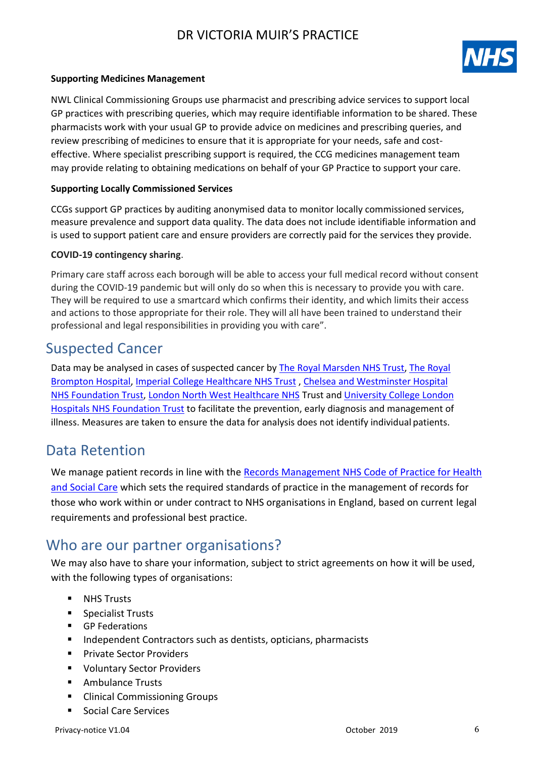

#### **Supporting Medicines Management**

NWL Clinical Commissioning Groups use pharmacist and prescribing advice services to support local GP practices with prescribing queries, which may require identifiable information to be shared. These pharmacists work with your usual GP to provide advice on medicines and prescribing queries, and review prescribing of medicines to ensure that it is appropriate for your needs, safe and costeffective. Where specialist prescribing support is required, the CCG medicines management team may provide relating to obtaining medications on behalf of your GP Practice to support your care.

#### **Supporting Locally Commissioned Services**

CCGs support GP practices by auditing anonymised data to monitor locally commissioned services, measure prevalence and support data quality. The data does not include identifiable information and is used to support patient care and ensure providers are correctly paid for the services they provide.

#### **COVID-19 contingency sharing**.

Primary care staff across each borough will be able to access your full medical record without consent during the COVID-19 pandemic but will only do so when this is necessary to provide you with care. They will be required to use a smartcard which confirms their identity, and which limits their access and actions to those appropriate for their role. They will all have been trained to understand their professional and legal responsibilities in providing you with care".

### Suspected Cancer

Data may be analysed in cases of suspected cancer by [The Royal Marsden NHS Trust,](https://www.royalmarsden.nhs.uk/) [The Royal](http://www.rbht.nhs.uk/)  [Brompton Hospital,](http://www.rbht.nhs.uk/) Imperial [College Healthcare NHS Trust](https://www.imperial.nhs.uk/) , [Chelsea and Westminster Hospital](http://www.chelwest.nhs.uk/)  [NHS Foundation Trust,](http://www.chelwest.nhs.uk/) [London North West Healthcare NHS](https://www.lnwh.nhs.uk/) Trust and [University College London](http://www.uclh.nhs.uk/)  [Hospitals NHS Foundation Trust](http://www.uclh.nhs.uk/) to facilitate the prevention, early diagnosis and management of illness. Measures are taken to ensure the data for analysis does not identify individual patients.

### Data Retention

We manage patient records in line with the Records Management NHS Code of Practice for Health and Social Care which sets the required standards of practice in the management of records for those who work within or under contract to NHS organisations in England, based on current legal requirements and professional best practice.

### Who are our partner organisations?

We may also have to share your information, subject to strict agreements on how it will be used, with the following types of organisations:

- **NHS Trusts**
- Specialist Trusts
- GP Federations
- **Independent Contractors such as dentists, opticians, pharmacists**
- **Private Sector Providers**
- Voluntary Sector Providers
- Ambulance Trusts
- Clinical Commissioning Groups
- Social Care Services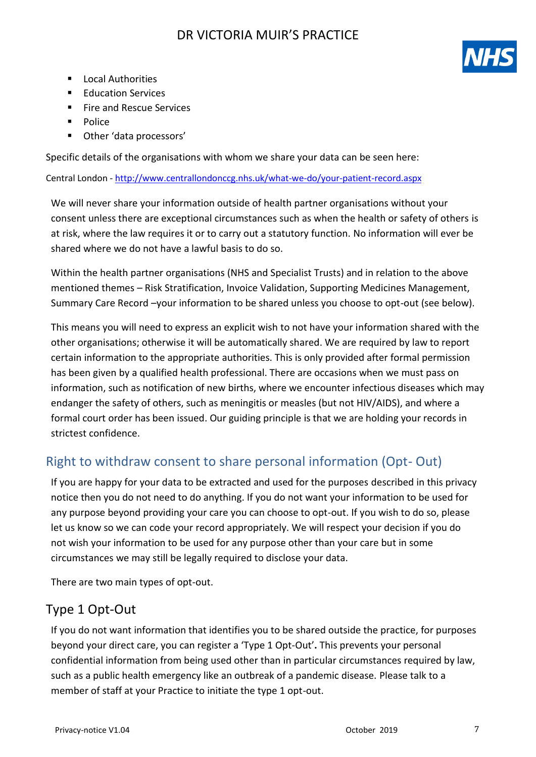

- **Local Authorities**
- **Education Services**
- **Fire and Rescue Services**
- Police
- Other 'data processors'

Specific details of the organisations with whom we share your data can be seen here:

Central London - <http://www.centrallondonccg.nhs.uk/what-we-do/your-patient-record.aspx>

We will never share your information outside of health partner organisations without your consent unless there are exceptional circumstances such as when the health or safety of others is at risk, where the law requires it or to carry out a statutory function. No information will ever be shared where we do not have a lawful basis to do so.

Within the health partner organisations (NHS and Specialist Trusts) and in relation to the above mentioned themes – Risk Stratification, Invoice Validation, Supporting Medicines Management, Summary Care Record –your information to be shared unless you choose to opt-out (see below).

This means you will need to express an explicit wish to not have your information shared with the other organisations; otherwise it will be automatically shared. We are required by law to report certain information to the appropriate authorities. This is only provided after formal permission has been given by a qualified health professional. There are occasions when we must pass on information, such as notification of new births, where we encounter infectious diseases which may endanger the safety of others, such as meningitis or measles (but not HIV/AIDS), and where a formal court order has been issued. Our guiding principle is that we are holding your records in strictest confidence.

# Right to withdraw consent to share personal information (Opt- Out)

If you are happy for your data to be extracted and used for the purposes described in this privacy notice then you do not need to do anything. If you do not want your information to be used for any purpose beyond providing your care you can choose to opt-out. If you wish to do so, please let us know so we can code your record appropriately. We will respect your decision if you do not wish your information to be used for any purpose other than your care but in some circumstances we may still be legally required to disclose your data.

There are two main types of opt-out.

# Type 1 Opt-Out

If you do not want information that identifies you to be shared outside the practice, for purposes beyond your direct care, you can register a 'Type 1 Opt-Out'**.** This prevents your personal confidential information from being used other than in particular circumstances required by law, such as a public health emergency like an outbreak of a pandemic disease. Please talk to a member of staff at your Practice to initiate the type 1 opt-out.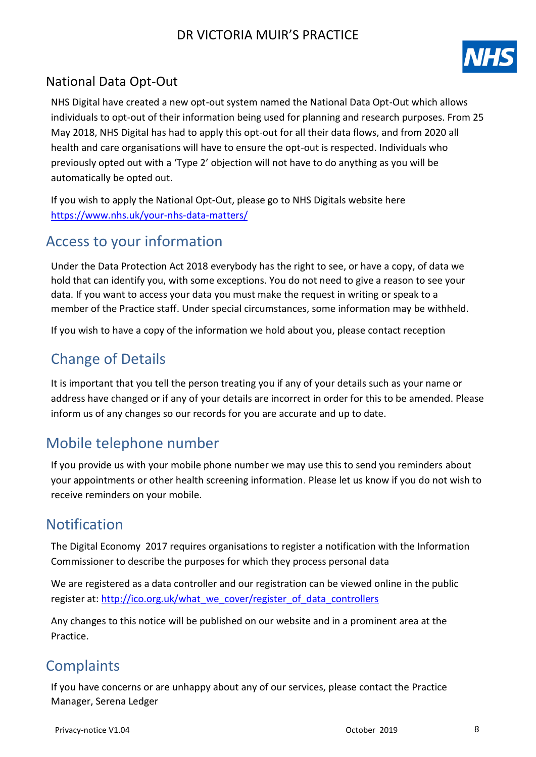

### National Data Opt-Out

NHS Digital have created a new opt-out system named the National Data Opt-Out which allows individuals to opt-out of their information being used for planning and research purposes. From 25 May 2018, NHS Digital has had to apply this opt-out for all their data flows, and from 2020 all health and care organisations will have to ensure the opt-out is respected. Individuals who previously opted out with a 'Type 2' objection will not have to do anything as you will be automatically be opted out.

If you wish to apply the National Opt-Out, please go to NHS Digitals website here <https://www.nhs.uk/your-nhs-data-matters/>

# Access to your information

Under the Data Protection Act 2018 everybody has the right to see, or have a copy, of data we hold that can identify you, with some exceptions. You do not need to give a reason to see your data. If you want to access your data you must make the request in writing or speak to a member of the Practice staff. Under special circumstances, some information may be withheld.

If you wish to have a copy of the information we hold about you, please contact reception

# Change of Details

It is important that you tell the person treating you if any of your details such as your name or address have changed or if any of your details are incorrect in order for this to be amended. Please inform us of any changes so our records for you are accurate and up to date.

# Mobile telephone number

If you provide us with your mobile phone number we may use this to send you reminders about your appointments or other health screening information. Please let us know if you do not wish to receive reminders on your mobile.

# Notification

The Digital Economy 2017 requires organisations to register a notification with the Information Commissioner to describe the purposes for which they process personal data

We are registered as a data controller and our registration can be viewed online in the public register at: [http://ico.org.uk/what\\_we\\_cover/register\\_of\\_data\\_controllers](http://ico.org.uk/what_we_cover/register_of_data_controllers)

Any changes to this notice will be published on our website and in a prominent area at the Practice.

# **Complaints**

If you have concerns or are unhappy about any of our services, please contact the Practice Manager, Serena Ledger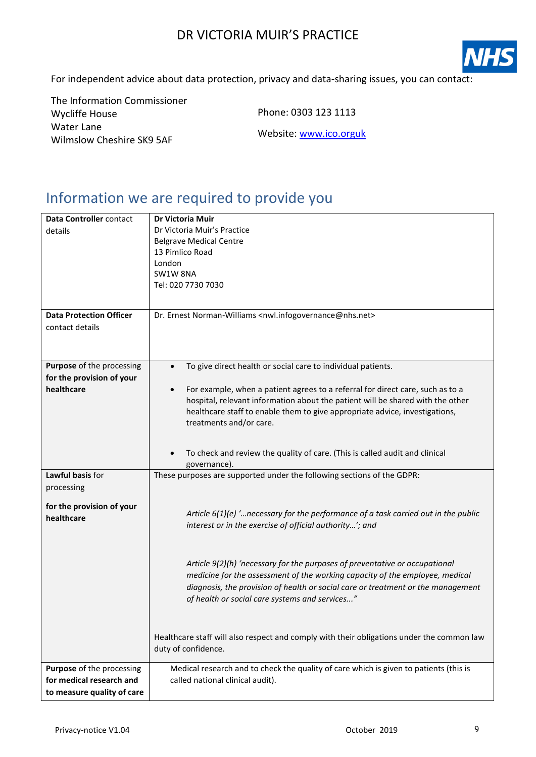

For independent advice about data protection, privacy and data-sharing issues, you can contact:

The Information Commissioner Wycliffe House Water Lane Wilmslow Cheshire SK9 5AF

Phone: 0303 123 1113

Website: [www.ico.orguk](http://www.ico.orguk/)

# Information we are required to provide you

| Data Controller contact<br>details                                                  | <b>Dr Victoria Muir</b><br>Dr Victoria Muir's Practice<br><b>Belgrave Medical Centre</b><br>13 Pimlico Road<br>London<br>SW1W 8NA<br>Tel: 020 7730 7030                                                                                                                                           |
|-------------------------------------------------------------------------------------|---------------------------------------------------------------------------------------------------------------------------------------------------------------------------------------------------------------------------------------------------------------------------------------------------|
|                                                                                     |                                                                                                                                                                                                                                                                                                   |
| <b>Data Protection Officer</b><br>contact details                                   | Dr. Ernest Norman-Williams <nwl.infogovernance@nhs.net></nwl.infogovernance@nhs.net>                                                                                                                                                                                                              |
| Purpose of the processing<br>for the provision of your                              | To give direct health or social care to individual patients.                                                                                                                                                                                                                                      |
| healthcare                                                                          | For example, when a patient agrees to a referral for direct care, such as to a<br>$\bullet$<br>hospital, relevant information about the patient will be shared with the other<br>healthcare staff to enable them to give appropriate advice, investigations,<br>treatments and/or care.           |
|                                                                                     | To check and review the quality of care. (This is called audit and clinical<br>governance).                                                                                                                                                                                                       |
| Lawful basis for<br>processing                                                      | These purposes are supported under the following sections of the GDPR:                                                                                                                                                                                                                            |
| for the provision of your<br>healthcare                                             | Article $6(1)(e)$ ' necessary for the performance of a task carried out in the public<br>interest or in the exercise of official authority'; and                                                                                                                                                  |
|                                                                                     | Article 9(2)(h) 'necessary for the purposes of preventative or occupational<br>medicine for the assessment of the working capacity of the employee, medical<br>diagnosis, the provision of health or social care or treatment or the management<br>of health or social care systems and services" |
|                                                                                     | Healthcare staff will also respect and comply with their obligations under the common law<br>duty of confidence.                                                                                                                                                                                  |
| Purpose of the processing<br>for medical research and<br>to measure quality of care | Medical research and to check the quality of care which is given to patients (this is<br>called national clinical audit).                                                                                                                                                                         |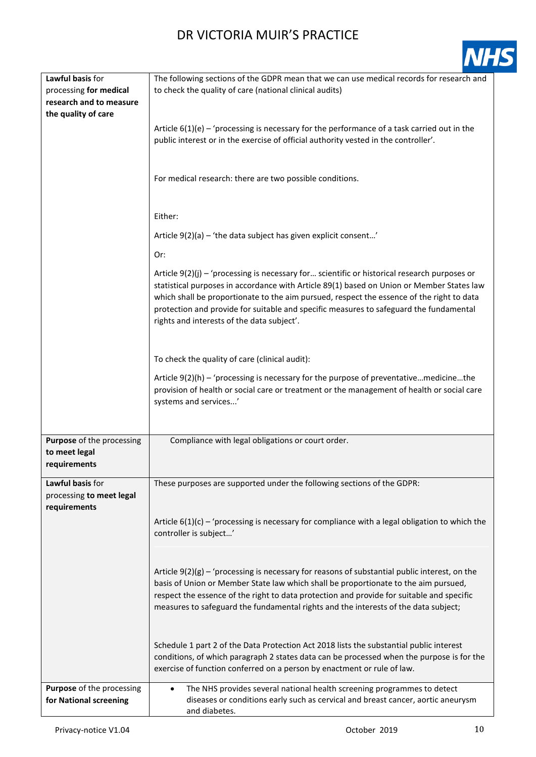|--|

| Lawful basis for                                    | The following sections of the GDPR mean that we can use medical records for research and                                                                                                                                                                                                                                                                                                                                       |
|-----------------------------------------------------|--------------------------------------------------------------------------------------------------------------------------------------------------------------------------------------------------------------------------------------------------------------------------------------------------------------------------------------------------------------------------------------------------------------------------------|
| processing for medical                              | to check the quality of care (national clinical audits)                                                                                                                                                                                                                                                                                                                                                                        |
| research and to measure                             |                                                                                                                                                                                                                                                                                                                                                                                                                                |
| the quality of care                                 |                                                                                                                                                                                                                                                                                                                                                                                                                                |
|                                                     | Article $6(1)(e)$ – 'processing is necessary for the performance of a task carried out in the<br>public interest or in the exercise of official authority vested in the controller'.                                                                                                                                                                                                                                           |
|                                                     | For medical research: there are two possible conditions.                                                                                                                                                                                                                                                                                                                                                                       |
|                                                     | Either:                                                                                                                                                                                                                                                                                                                                                                                                                        |
|                                                     | Article $9(2)(a)$ – 'the data subject has given explicit consent'                                                                                                                                                                                                                                                                                                                                                              |
|                                                     | Or:                                                                                                                                                                                                                                                                                                                                                                                                                            |
|                                                     | Article 9(2)(j) - 'processing is necessary for scientific or historical research purposes or<br>statistical purposes in accordance with Article 89(1) based on Union or Member States law<br>which shall be proportionate to the aim pursued, respect the essence of the right to data<br>protection and provide for suitable and specific measures to safeguard the fundamental<br>rights and interests of the data subject'. |
|                                                     | To check the quality of care (clinical audit):                                                                                                                                                                                                                                                                                                                                                                                 |
|                                                     | Article $9(2)(h)$ – 'processing is necessary for the purpose of preventativemedicinethe                                                                                                                                                                                                                                                                                                                                        |
|                                                     | provision of health or social care or treatment or the management of health or social care<br>systems and services'                                                                                                                                                                                                                                                                                                            |
|                                                     |                                                                                                                                                                                                                                                                                                                                                                                                                                |
| Purpose of the processing                           | Compliance with legal obligations or court order.                                                                                                                                                                                                                                                                                                                                                                              |
| to meet legal                                       |                                                                                                                                                                                                                                                                                                                                                                                                                                |
| requirements                                        |                                                                                                                                                                                                                                                                                                                                                                                                                                |
|                                                     |                                                                                                                                                                                                                                                                                                                                                                                                                                |
| Lawful basis for                                    | These purposes are supported under the following sections of the GDPR:                                                                                                                                                                                                                                                                                                                                                         |
| processing to meet legal                            |                                                                                                                                                                                                                                                                                                                                                                                                                                |
| requirements                                        |                                                                                                                                                                                                                                                                                                                                                                                                                                |
|                                                     | Article $6(1)(c)$ – 'processing is necessary for compliance with a legal obligation to which the<br>controller is subject'                                                                                                                                                                                                                                                                                                     |
|                                                     | Article $9(2)(g)$ – 'processing is necessary for reasons of substantial public interest, on the<br>basis of Union or Member State law which shall be proportionate to the aim pursued,<br>respect the essence of the right to data protection and provide for suitable and specific<br>measures to safeguard the fundamental rights and the interests of the data subject;                                                     |
|                                                     | Schedule 1 part 2 of the Data Protection Act 2018 lists the substantial public interest<br>conditions, of which paragraph 2 states data can be processed when the purpose is for the<br>exercise of function conferred on a person by enactment or rule of law.                                                                                                                                                                |
| Purpose of the processing<br>for National screening | The NHS provides several national health screening programmes to detect<br>$\bullet$<br>diseases or conditions early such as cervical and breast cancer, aortic aneurysm<br>and diabetes.                                                                                                                                                                                                                                      |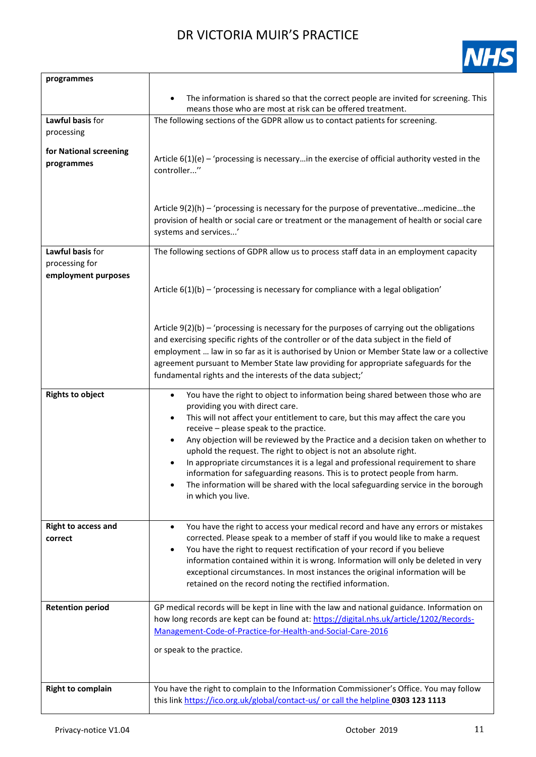

| programmes                 |                                                                                                                                                                                          |
|----------------------------|------------------------------------------------------------------------------------------------------------------------------------------------------------------------------------------|
|                            | The information is shared so that the correct people are invited for screening. This<br>$\bullet$<br>means those who are most at risk can be offered treatment.                          |
| Lawful basis for           | The following sections of the GDPR allow us to contact patients for screening.                                                                                                           |
| processing                 |                                                                                                                                                                                          |
| for National screening     |                                                                                                                                                                                          |
| programmes                 | Article $6(1)(e)$ – 'processing is necessaryin the exercise of official authority vested in the                                                                                          |
|                            | controller"                                                                                                                                                                              |
|                            |                                                                                                                                                                                          |
|                            |                                                                                                                                                                                          |
|                            | Article $9(2)(h)$ – 'processing is necessary for the purpose of preventativemedicinethe                                                                                                  |
|                            | provision of health or social care or treatment or the management of health or social care                                                                                               |
|                            | systems and services'                                                                                                                                                                    |
| Lawful basis for           | The following sections of GDPR allow us to process staff data in an employment capacity                                                                                                  |
| processing for             |                                                                                                                                                                                          |
| employment purposes        |                                                                                                                                                                                          |
|                            | Article $6(1)(b)$ – 'processing is necessary for compliance with a legal obligation'                                                                                                     |
|                            |                                                                                                                                                                                          |
|                            |                                                                                                                                                                                          |
|                            | Article $9(2)(b)$ – 'processing is necessary for the purposes of carrying out the obligations<br>and exercising specific rights of the controller or of the data subject in the field of |
|                            | employment  law in so far as it is authorised by Union or Member State law or a collective                                                                                               |
|                            | agreement pursuant to Member State law providing for appropriate safeguards for the                                                                                                      |
|                            | fundamental rights and the interests of the data subject;'                                                                                                                               |
| <b>Rights to object</b>    | You have the right to object to information being shared between those who are<br>$\bullet$                                                                                              |
|                            | providing you with direct care.                                                                                                                                                          |
|                            | This will not affect your entitlement to care, but this may affect the care you<br>$\bullet$                                                                                             |
|                            | receive - please speak to the practice.                                                                                                                                                  |
|                            | Any objection will be reviewed by the Practice and a decision taken on whether to<br>٠                                                                                                   |
|                            | uphold the request. The right to object is not an absolute right.<br>In appropriate circumstances it is a legal and professional requirement to share                                    |
|                            | information for safeguarding reasons. This is to protect people from harm.                                                                                                               |
|                            | The information will be shared with the local safeguarding service in the borough                                                                                                        |
|                            | in which you live.                                                                                                                                                                       |
|                            |                                                                                                                                                                                          |
| <b>Right to access and</b> | You have the right to access your medical record and have any errors or mistakes<br>$\bullet$                                                                                            |
| correct                    | corrected. Please speak to a member of staff if you would like to make a request                                                                                                         |
|                            | You have the right to request rectification of your record if you believe<br>$\bullet$                                                                                                   |
|                            | information contained within it is wrong. Information will only be deleted in very                                                                                                       |
|                            | exceptional circumstances. In most instances the original information will be<br>retained on the record noting the rectified information.                                                |
|                            |                                                                                                                                                                                          |
| <b>Retention period</b>    | GP medical records will be kept in line with the law and national guidance. Information on                                                                                               |
|                            | how long records are kept can be found at: https://digital.nhs.uk/article/1202/Records-                                                                                                  |
|                            | Management-Code-of-Practice-for-Health-and-Social-Care-2016                                                                                                                              |
|                            | or speak to the practice.                                                                                                                                                                |
|                            |                                                                                                                                                                                          |
|                            |                                                                                                                                                                                          |
| <b>Right to complain</b>   | You have the right to complain to the Information Commissioner's Office. You may follow                                                                                                  |
|                            | this link https://ico.org.uk/global/contact-us/ or call the helpline 0303 123 1113                                                                                                       |